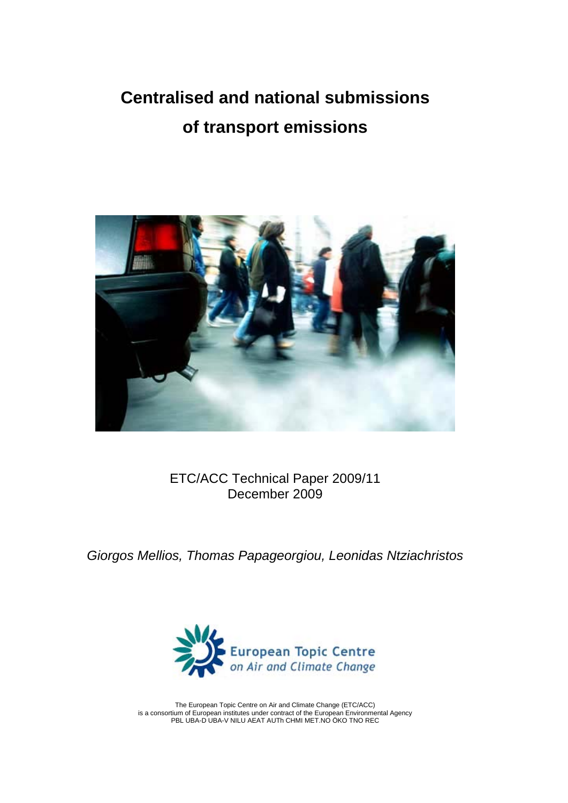## **Centralised and national submissions of transport emissions**



ETC/ACC Technical Paper 2009/11 December 2009

*Giorgos Mellios, Thomas Papageorgiou, Leonidas Ntziachristos* 



The European Topic Centre on Air and Climate Change (ETC/ACC) is a consortium of European institutes under contract of the European Environmental Agency PBL UBA-D UBA-V NILU AEAT AUTh CHMI MET.NO ÖKO TNO REC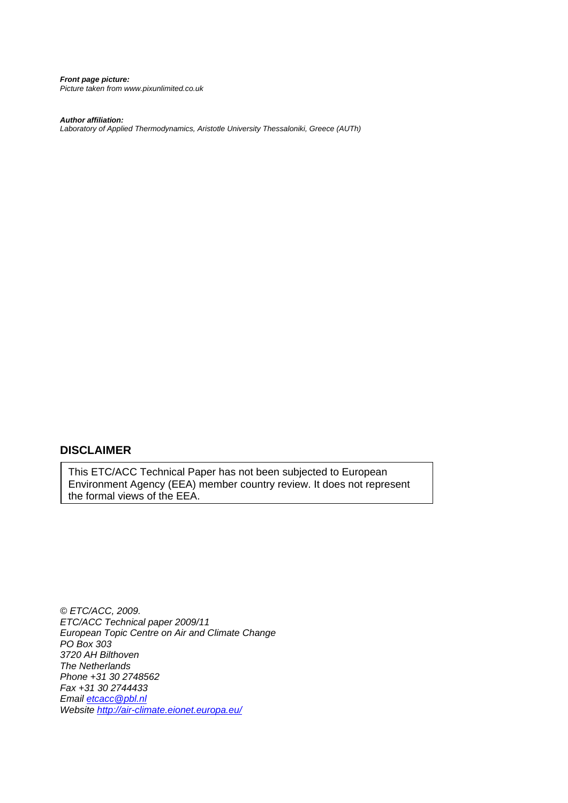*Front page picture: Picture taken from www.pixunlimited.co.uk* 

*Author affiliation:* 

*Laboratory of Applied Thermodynamics, Aristotle University Thessaloniki, Greece (AUTh)* 

#### **DISCLAIMER**

This ETC/ACC Technical Paper has not been subjected to European Environment Agency (EEA) member country review. It does not represent the formal views of the EEA.

*© ETC/ACC, 2009. ETC/ACC Technical paper 2009/11 European Topic Centre on Air and Climate Change PO Box 303 3720 AH Bilthoven The Netherlands Phone +31 30 2748562 Fax +31 30 2744433 Email [etcacc@pbl.nl](mailto:etcacc@pbl.nl) Website <http://air-climate.eionet.europa.eu/>*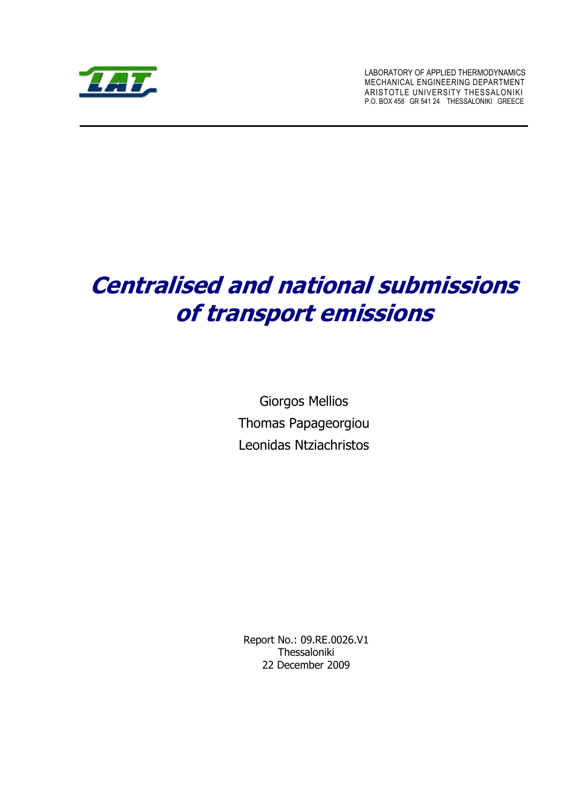

LABORATORY OF APPLIED THERMODYNAMICS MECHANICAL ENGINEERING DEPARTMENT ARISTOTLE UNIVERSITY THESSALONIKI P.O. BOX 458 GR 541 24 THESSALONIKI GREECE

# **Centralised and national submissions of transport emissions**

Giorgos Mellios Thomas Papageorgiou Leonidas Ntziachristos

Report No.: 09.RE.0026.V1 Thessaloniki 22 December 2009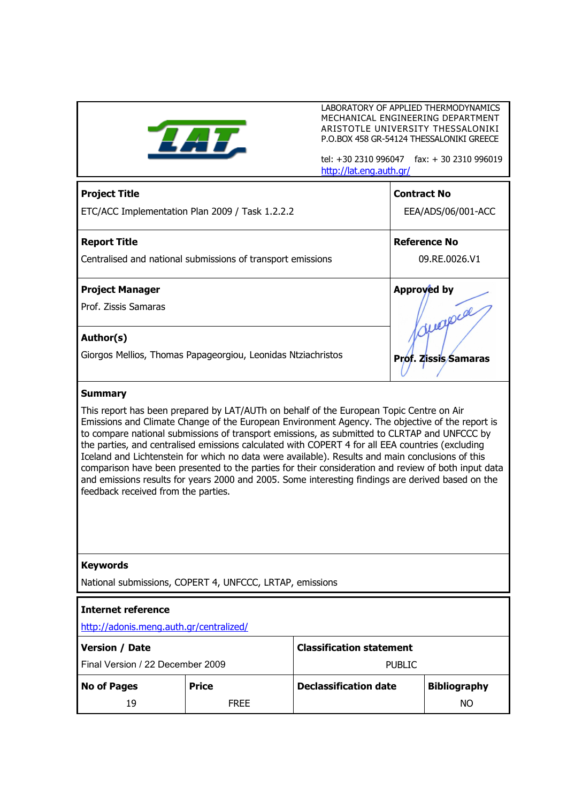

LABORATORY OF APPLIED THERMODYNAMICS MECHANICAL ENGINEERING DEPARTMENT ARISTOTLE UNIVERSITY THESSALONIKI P.O.BOX 458 GR-54124 THESSALONIKI GREECE

tel: +30 2310 996047 fax: + 30 2310 996019 <http://lat.eng.auth.gr/>

| <b>Project Title</b>                                                                                                                                                                                                                                                                                                                                                                                                                                                                                                                                                                                                                                                                                                                                  |                                                             |                              |                                    | <b>Contract No</b>  |  |  |
|-------------------------------------------------------------------------------------------------------------------------------------------------------------------------------------------------------------------------------------------------------------------------------------------------------------------------------------------------------------------------------------------------------------------------------------------------------------------------------------------------------------------------------------------------------------------------------------------------------------------------------------------------------------------------------------------------------------------------------------------------------|-------------------------------------------------------------|------------------------------|------------------------------------|---------------------|--|--|
|                                                                                                                                                                                                                                                                                                                                                                                                                                                                                                                                                                                                                                                                                                                                                       | ETC/ACC Implementation Plan 2009 / Task 1.2.2.2             |                              | EEA/ADS/06/001-ACC                 |                     |  |  |
| <b>Report Title</b>                                                                                                                                                                                                                                                                                                                                                                                                                                                                                                                                                                                                                                                                                                                                   |                                                             |                              |                                    | <b>Reference No</b> |  |  |
|                                                                                                                                                                                                                                                                                                                                                                                                                                                                                                                                                                                                                                                                                                                                                       | Centralised and national submissions of transport emissions |                              | 09.RE.0026.V1                      |                     |  |  |
| <b>Project Manager</b>                                                                                                                                                                                                                                                                                                                                                                                                                                                                                                                                                                                                                                                                                                                                |                                                             |                              | Approved by                        |                     |  |  |
| Prof. Zissis Samaras                                                                                                                                                                                                                                                                                                                                                                                                                                                                                                                                                                                                                                                                                                                                  |                                                             |                              | Offerpreal<br>Prof. Zissis/Samaras |                     |  |  |
| Author(s)<br>Giorgos Mellios, Thomas Papageorgiou, Leonidas Ntziachristos                                                                                                                                                                                                                                                                                                                                                                                                                                                                                                                                                                                                                                                                             |                                                             |                              |                                    |                     |  |  |
|                                                                                                                                                                                                                                                                                                                                                                                                                                                                                                                                                                                                                                                                                                                                                       |                                                             |                              |                                    |                     |  |  |
| <b>Summary</b>                                                                                                                                                                                                                                                                                                                                                                                                                                                                                                                                                                                                                                                                                                                                        |                                                             |                              |                                    |                     |  |  |
| This report has been prepared by LAT/AUTh on behalf of the European Topic Centre on Air<br>Emissions and Climate Change of the European Environment Agency. The objective of the report is<br>to compare national submissions of transport emissions, as submitted to CLRTAP and UNFCCC by<br>the parties, and centralised emissions calculated with COPERT 4 for all EEA countries (excluding<br>Iceland and Lichtenstein for which no data were available). Results and main conclusions of this<br>comparison have been presented to the parties for their consideration and review of both input data<br>and emissions results for years 2000 and 2005. Some interesting findings are derived based on the<br>feedback received from the parties. |                                                             |                              |                                    |                     |  |  |
| <b>Keywords</b>                                                                                                                                                                                                                                                                                                                                                                                                                                                                                                                                                                                                                                                                                                                                       |                                                             |                              |                                    |                     |  |  |
| National submissions, COPERT 4, UNFCCC, LRTAP, emissions                                                                                                                                                                                                                                                                                                                                                                                                                                                                                                                                                                                                                                                                                              |                                                             |                              |                                    |                     |  |  |
| <b>Internet reference</b><br>http://adonis.meng.auth.gr/centralized/                                                                                                                                                                                                                                                                                                                                                                                                                                                                                                                                                                                                                                                                                  |                                                             |                              |                                    |                     |  |  |
| <b>Classification statement</b><br><b>Version / Date</b>                                                                                                                                                                                                                                                                                                                                                                                                                                                                                                                                                                                                                                                                                              |                                                             |                              |                                    |                     |  |  |
| Final Version / 22 December 2009                                                                                                                                                                                                                                                                                                                                                                                                                                                                                                                                                                                                                                                                                                                      |                                                             |                              | <b>PUBLIC</b>                      |                     |  |  |
| <b>No of Pages</b>                                                                                                                                                                                                                                                                                                                                                                                                                                                                                                                                                                                                                                                                                                                                    | <b>Price</b>                                                | <b>Declassification date</b> |                                    | <b>Bibliography</b> |  |  |
| 19                                                                                                                                                                                                                                                                                                                                                                                                                                                                                                                                                                                                                                                                                                                                                    | <b>FREE</b>                                                 |                              |                                    | <b>NO</b>           |  |  |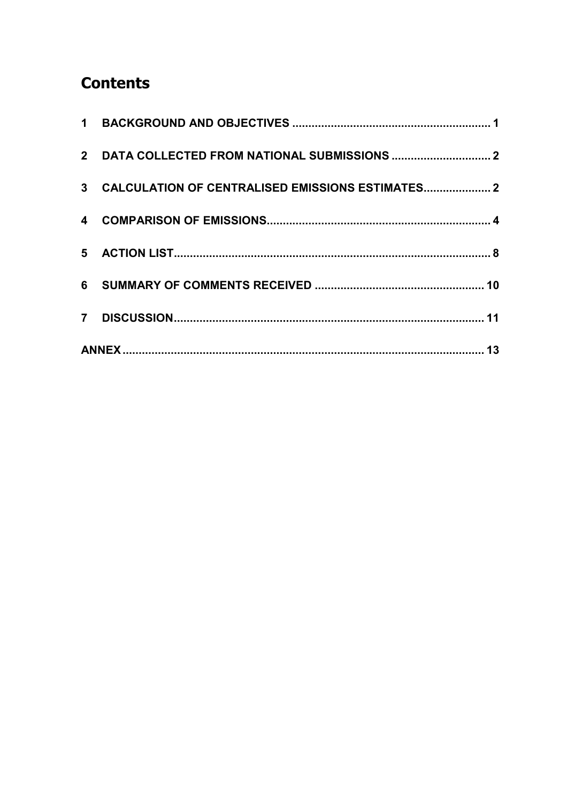## **Contents**

| 3 CALCULATION OF CENTRALISED EMISSIONS ESTIMATES 2 |  |
|----------------------------------------------------|--|
|                                                    |  |
|                                                    |  |
|                                                    |  |
|                                                    |  |
|                                                    |  |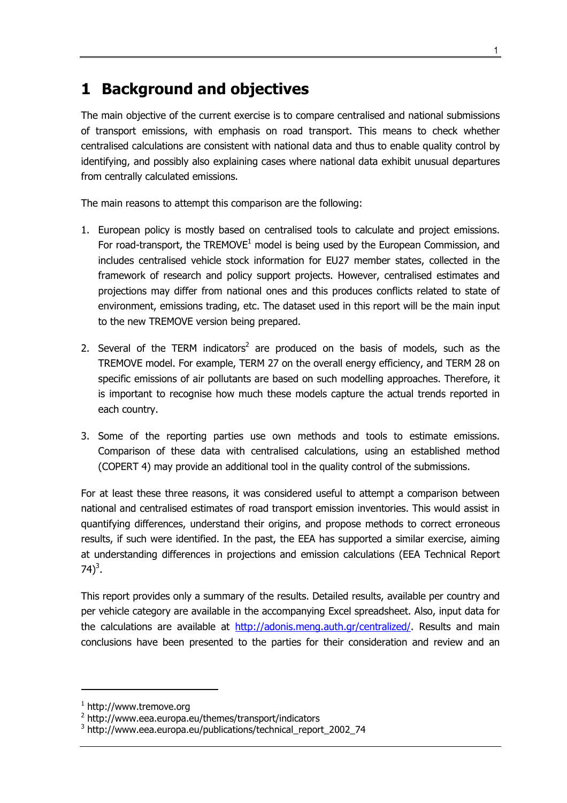#### <span id="page-8-0"></span>**1 Background and objectives**

The main objective of the current exercise is to compare centralised and national submissions of transport emissions, with emphasis on road transport. This means to check whether centralised calculations are consistent with national data and thus to enable quality control by identifying, and possibly also explaining cases where national data exhibit unusual departures from centrally calculated emissions.

The main reasons to attempt this comparison are the following:

- 1. European policy is mostly based on centralised tools to calculate and project emissions. For road-transport, the TREMOVE $1$  model is being used by the European Commission, and includes centralised vehicle stock information for EU27 member states, collected in the framework of research and policy support projects. However, centralised estimates and projections may differ from national ones and this produces conflicts related to state of environment, emissions trading, etc. The dataset used in this report will be the main input to the new TREMOVE version being prepared.
- 2. Several of the TERM indicators<sup>2</sup> are produced on the basis of models, such as the TREMOVE model. For example, TERM 27 on the overall energy efficiency, and TERM 28 on specific emissions of air pollutants are based on such modelling approaches. Therefore, it is important to recognise how much these models capture the actual trends reported in each country.
- 3. Some of the reporting parties use own methods and tools to estimate emissions. Comparison of these data with centralised calculations, using an established method (COPERT 4) may provide an additional tool in the quality control of the submissions.

For at least these three reasons, it was considered useful to attempt a comparison between national and centralised estimates of road transport emission inventories. This would assist in quantifying differences, understand their origins, and propose methods to correct erroneous results, if such were identified. In the past, the EEA has supported a similar exercise, aiming at understanding differences in projections and emission calculations (EEA Technical Report 74)<sup>3</sup>.

This report provides only a summary of the results. Detailed results, available per country and per vehicle category are available in the accompanying Excel spreadsheet. Also, input data for the calculations are available at <http://adonis.meng.auth.gr/centralized/>. Results and main conclusions have been presented to the parties for their consideration and review and an

-

<sup>1</sup> http://www.tremove.org

<sup>&</sup>lt;sup>2</sup> http://www.eea.europa.eu/themes/transport/indicators

<sup>3</sup> http://www.eea.europa.eu/publications/technical\_report\_2002\_74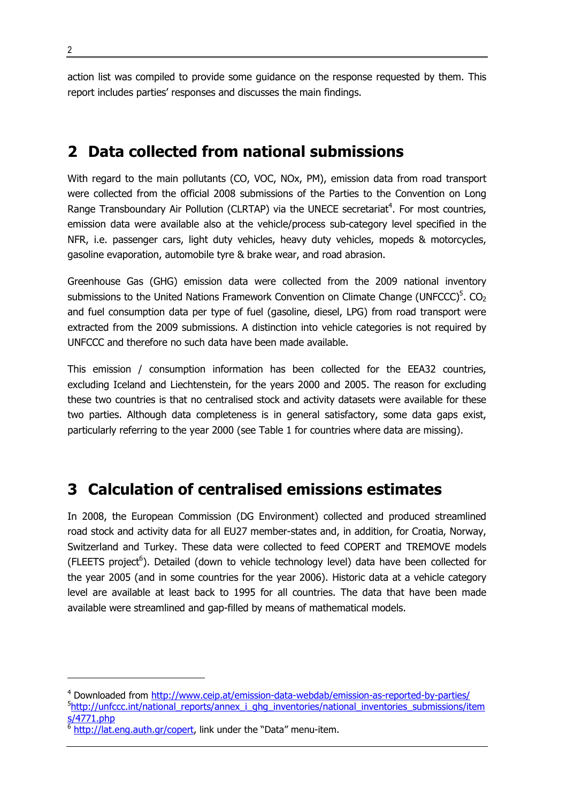<span id="page-9-0"></span>action list was compiled to provide some guidance on the response requested by them. This report includes parties' responses and discusses the main findings.

#### **2 Data collected from national submissions**

With regard to the main pollutants (CO, VOC, NOx, PM), emission data from road transport were collected from the official 2008 submissions of the Parties to the Convention on Long Range Transboundary Air Pollution (CLRTAP) via the UNECE secretariat<sup>4</sup>. For most countries, emission data were available also at the vehicle/process sub-category level specified in the NFR, i.e. passenger cars, light duty vehicles, heavy duty vehicles, mopeds & motorcycles, gasoline evaporation, automobile tyre & brake wear, and road abrasion.

Greenhouse Gas (GHG) emission data were collected from the 2009 national inventory submissions to the United Nations Framework Convention on Climate Change (UNFCCC)<sup>5</sup>. CO<sub>2</sub> and fuel consumption data per type of fuel (gasoline, diesel, LPG) from road transport were extracted from the 2009 submissions. A distinction into vehicle categories is not required by UNFCCC and therefore no such data have been made available.

This emission / consumption information has been collected for the EEA32 countries, excluding Iceland and Liechtenstein, for the years 2000 and 2005. The reason for excluding these two countries is that no centralised stock and activity datasets were available for these two parties. Although data completeness is in general satisfactory, some data gaps exist, particularly referring to the year 2000 (see Table 1 for countries where data are missing).

#### **3 Calculation of centralised emissions estimates**

In 2008, the European Commission (DG Environment) collected and produced streamlined road stock and activity data for all EU27 member-states and, in addition, for Croatia, Norway, Switzerland and Turkey. These data were collected to feed COPERT and TREMOVE models (FLEETS project<sup>6</sup>). Detailed (down to vehicle technology level) data have been collected for the year 2005 (and in some countries for the year 2006). Historic data at a vehicle category level are available at least back to 1995 for all countries. The data that have been made available were streamlined and gap-filled by means of mathematical models.

1

<sup>&</sup>lt;sup>4</sup> Downloaded from<http://www.ceip.at/emission-data-webdab/emission-as-reported-by-parties/> <sup>5</sup>[http://unfccc.int/national\\_reports/annex\\_i\\_ghg\\_inventories/national\\_inventories\\_submissions/i](http://unfccc.int/national_reports/annex_i_ghg_inventories/national_inventories_submissions/items/4771.php)tem [s/4771.php](http://unfccc.int/national_reports/annex_i_ghg_inventories/national_inventories_submissions/items/4771.php)

<sup>6</sup> <http://lat.eng.auth.gr/copert>, link under the "Data" menu-item.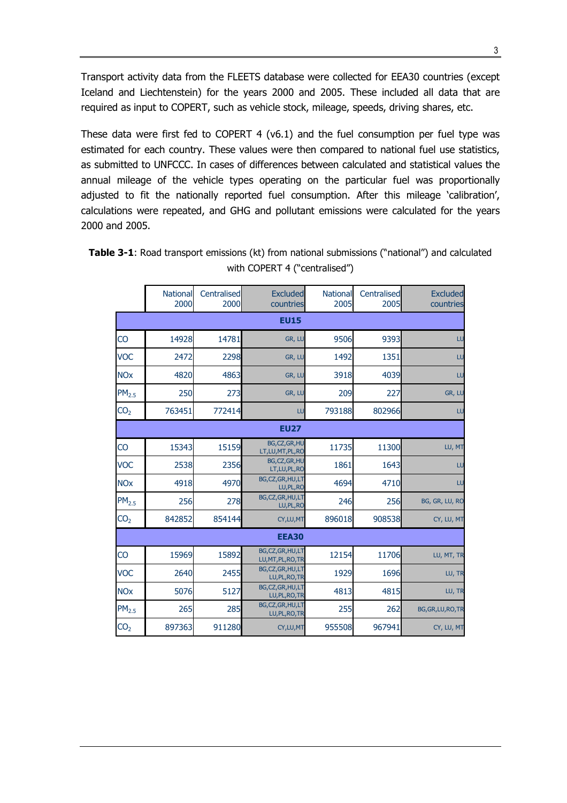<span id="page-10-0"></span>Transport activity data from the FLEETS database were collected for EEA30 countries (except Iceland and Liechtenstein) for the years 2000 and 2005. These included all data that are required as input to COPERT, such as vehicle stock, mileage, speeds, driving shares, etc.

These data were first fed to COPERT 4 (v6.1) and the fuel consumption per fuel type was estimated for each country. These values were then compared to national fuel use statistics, as submitted to UNFCCC. In cases of differences between calculated and statistical values the annual mileage of the vehicle types operating on the particular fuel was proportionally adjusted to fit the nationally reported fuel consumption. After this mileage 'calibration', calculations were repeated, and GHG and pollutant emissions were calculated for the years 2000 and 2005.

|                       | <b>National</b><br>2000 | Centralised<br>2000 | <b>Excluded</b><br>countries         | <b>National</b><br>2005 | Centralised<br>2005 | <b>Excluded</b><br>countries |
|-----------------------|-------------------------|---------------------|--------------------------------------|-------------------------|---------------------|------------------------------|
|                       |                         |                     | <b>EU15</b>                          |                         |                     |                              |
| CO                    | 14928                   | 14781               | GR, LU                               | 9506                    | 9393                | LU                           |
| <b>VOC</b>            | 2472                    | 2298                | GR, LU                               | 1492                    | 1351                | LU                           |
| <b>NOx</b>            | 4820                    | 4863                | GR, LU                               | 3918                    | 4039                | LU                           |
| PM <sub>2.5</sub>     | 250                     | 273                 | GR, LU                               | 209                     | 227                 | GR, LU                       |
| CO <sub>2</sub>       | 763451                  | 772414              | LU                                   | 793188                  | 802966              | LU                           |
|                       |                         |                     | <b>EU27</b>                          |                         |                     |                              |
| CO                    | 15343                   | 15159               | BG,CZ,GR,HU<br>LT,LU,MT,PL,RO        | 11735                   | 11300               | LU, MT                       |
| <b>VOC</b>            | 2538                    | 2356                | BG,CZ,GR,HU<br>LT, LU, PL, RO        | 1861                    | 1643                | LU                           |
| <b>NO<sub>x</sub></b> | 4918                    | 4970                | BG,CZ,GR,HU,LT<br>LU, PL, RO         | 4694                    | 4710                | LU                           |
| PM <sub>2.5</sub>     | 256                     | 278                 | BG,CZ,GR,HU,LT<br>LU, PL, RO         | 246                     | 256                 | BG, GR, LU, RO               |
| CO <sub>2</sub>       | 842852                  | 854144              | CY, LU, MT                           | 896018                  | 908538              | CY, LU, MT                   |
|                       | <b>EEA30</b>            |                     |                                      |                         |                     |                              |
| CO                    | 15969                   | 15892               | BG,CZ,GR,HU,LT<br>LU, MT, PL, RO, TR | 12154                   | 11706               | LU, MT, TR                   |
| <b>VOC</b>            | 2640                    | 2455                | BG,CZ,GR,HU,LT<br>LU, PL, RO, TR     | 1929                    | 1696                | LU, TR                       |
| <b>NOx</b>            | 5076                    | 5127                | BG,CZ,GR,HU,LT<br>LU, PL, RO, TR     | 4813                    | 4815                | LU, TR                       |
| PM <sub>2.5</sub>     | 265                     | 285                 | BG,CZ,GR,HU,LT<br>LU, PL, RO, TR     | 255                     | 262                 | BG, GR, LU, RO, TR           |
| CO <sub>2</sub>       | 897363                  | 911280              | CY, LU, MT                           | 955508                  | 967941              | CY, LU, MT                   |

**Table 3-1**: Road transport emissions (kt) from national submissions ("national") and calculated with COPERT 4 ("centralised")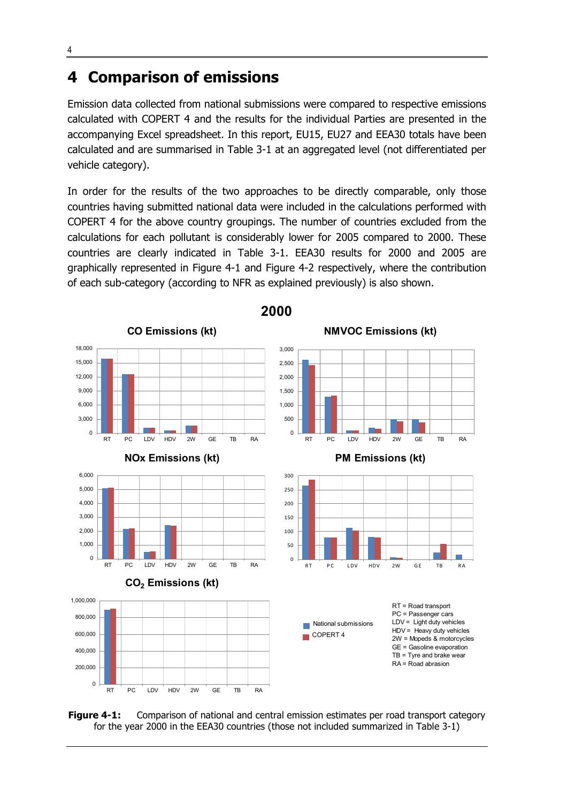#### <span id="page-11-0"></span>**4 Comparison of emissions**

Emission data collected from national submissions were compared to respective emissions calculated with COPERT 4 and the results for the individual Parties are presented in the accompanying Excel spreadsheet. In this report, EU15, EU27 and EEA30 totals have been calculated and are summarised in [Table 3-1](#page-10-0) at an aggregated level (not differentiated per vehicle category).

In order for the results of the two approaches to be directly comparable, only those countries having submitted national data were included in the calculations performed with COPERT 4 for the above country groupings. The number of countries excluded from the calculations for each pollutant is considerably lower for 2005 compared to 2000. These countries are clearly indicated in [Table 3-1.](#page-10-0) EEA30 results for 2000 and 2005 are graphically represented in Figure 4-1 and [Figure 4-2](#page-12-0) respectively, where the contribution of each sub-category (according to NFR as explained previously) is also shown.



**2000**

**Figure 4-1:** Comparison of national and central emission estimates per road transport category for the year 2000 in the EEA30 countries (those not included summarized in [Table 3-1\)](#page-10-0)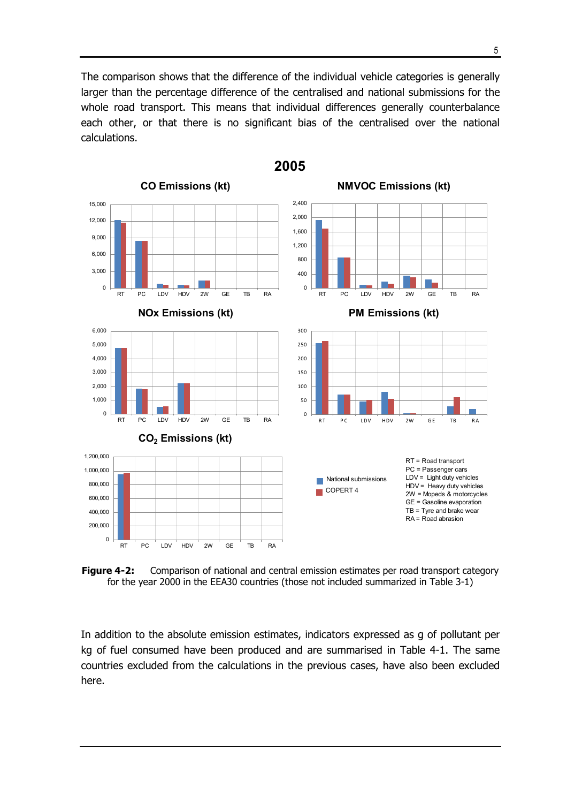<span id="page-12-0"></span>The comparison shows that the difference of the individual vehicle categories is generally larger than the percentage difference of the centralised and national submissions for the whole road transport. This means that individual differences generally counterbalance each other, or that there is no significant bias of the centralised over the national calculations.



**Figure 4-2:** Comparison of national and central emission estimates per road transport category for the year 2000 in the EEA30 countries (those not included summarized in [Table 3-1\)](#page-10-0)

In addition to the absolute emission estimates, indicators expressed as g of pollutant per kg of fuel consumed have been produced and are summarised in [Table 4-1.](#page-13-0) The same countries excluded from the calculations in the previous cases, have also been excluded here.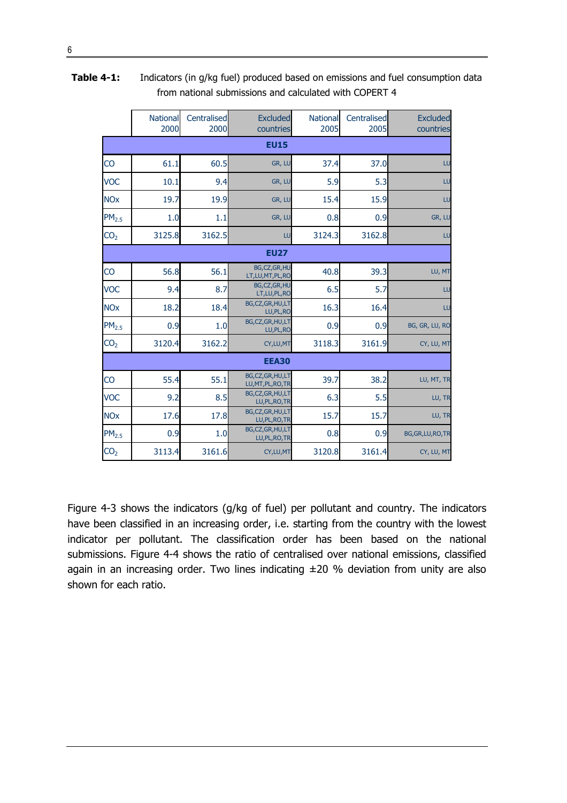|                       | National<br>2000 | Centralised<br>2000 | <b>Excluded</b><br>countries         | National<br>2005 | Centralised<br>2005 | <b>Excluded</b><br>countries |  |
|-----------------------|------------------|---------------------|--------------------------------------|------------------|---------------------|------------------------------|--|
|                       | <b>EU15</b>      |                     |                                      |                  |                     |                              |  |
| CO                    | 61.1             | 60.5                | GR, LU                               | 37.4             | 37.0                | LU                           |  |
| <b>VOC</b>            | 10.1             | 9.4                 | GR, LU                               | 5.9              | 5.3                 | LU                           |  |
| <b>NOx</b>            | 19.7             | 19.9                | GR, LU                               | 15.4             | 15.9                | LU                           |  |
| PM <sub>2.5</sub>     | 1.0              | 1.1                 | GR, LU                               | 0.8              | 0.9                 | GR, LU                       |  |
| CO <sub>2</sub>       | 3125.8           | 3162.5              | LU                                   | 3124.3           | 3162.8              | LU                           |  |
|                       |                  |                     | <b>EU27</b>                          |                  |                     |                              |  |
| $\overline{c}$        | 56.8             | 56.1                | BG,CZ,GR,HU<br>LT,LU,MT,PL,RO        | 40.8             | 39.3                | LU, MT                       |  |
| <b>VOC</b>            | 9.4              | 8.7                 | BG,CZ,GR,HU<br>LT, LU, PL, RO        | 6.5              | 5.7                 | LU                           |  |
| <b>NO<sub>X</sub></b> | 18.2             | 18.4                | BG,CZ,GR,HU,LT<br>LU, PL, RO         | 16.3             | 16.4                | LU                           |  |
| PM <sub>2.5</sub>     | 0.9              | 1.0                 | BG,CZ,GR,HU,LT<br>LU, PL, RO         | 0.9              | 0.9                 | BG, GR, LU, RO               |  |
| CO <sub>2</sub>       | 3120.4           | 3162.2              | CY, LU, MT                           | 3118.3           | 3161.9              | CY, LU, MT                   |  |
|                       | <b>EEA30</b>     |                     |                                      |                  |                     |                              |  |
| CO                    | 55.4             | 55.1                | BG,CZ,GR,HU,LT<br>LU, MT, PL, RO, TR | 39.7             | 38.2                | LU, MT, TR                   |  |
| <b>VOC</b>            | 9.2              | 8.5                 | BG, CZ, GR, HU, LT<br>LU, PL, RO, TR | 6.3              | 5.5                 | LU, TR                       |  |
| <b>NOx</b>            | 17.6             | 17.8                | BG,CZ,GR,HU,LT<br>LU, PL, RO, TR     | 15.7             | 15.7                | LU, TR                       |  |
| PM <sub>2.5</sub>     | 0.9              | 1.0                 | BG,CZ,GR,HU,LT<br>LU, PL, RO, TR     | 0.8              | 0.9                 | BG, GR, LU, RO, TR           |  |
| CO <sub>2</sub>       | 3113.4           | 3161.6              | CY, LU, MT                           | 3120.8           | 3161.4              | CY, LU, MT                   |  |

<span id="page-13-0"></span>**Table 4-1:** Indicators (in g/kg fuel) produced based on emissions and fuel consumption data from national submissions and calculated with COPERT 4

[Figure 4-3](#page-14-0) shows the indicators (g/kg of fuel) per pollutant and country. The indicators have been classified in an increasing order, i.e. starting from the country with the lowest indicator per pollutant. The classification order has been based on the national submissions. [Figure 4-4](#page-15-0) shows the ratio of centralised over national emissions, classified again in an increasing order. Two lines indicating  $\pm 20$  % deviation from unity are also shown for each ratio.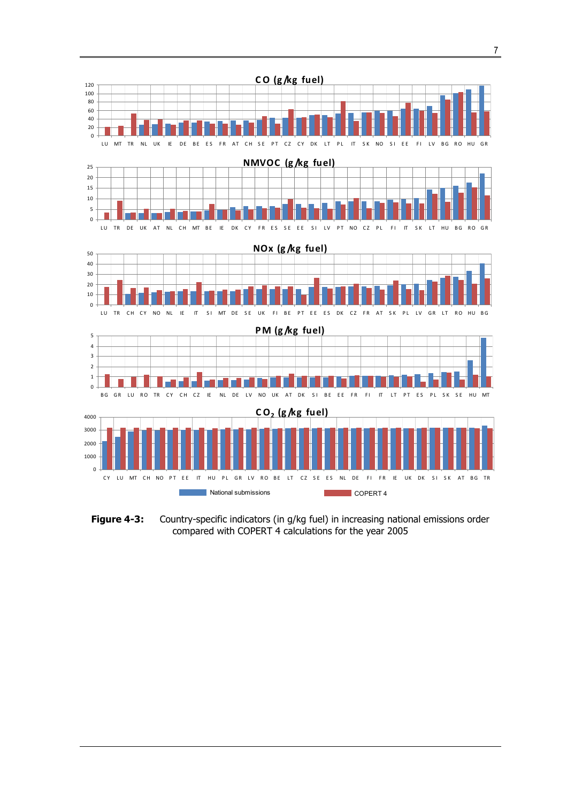<span id="page-14-0"></span>

Figure 4-3: Country-specific indicators (in g/kg fuel) in increasing national emissions order compared with COPERT 4 calculations for the year 2005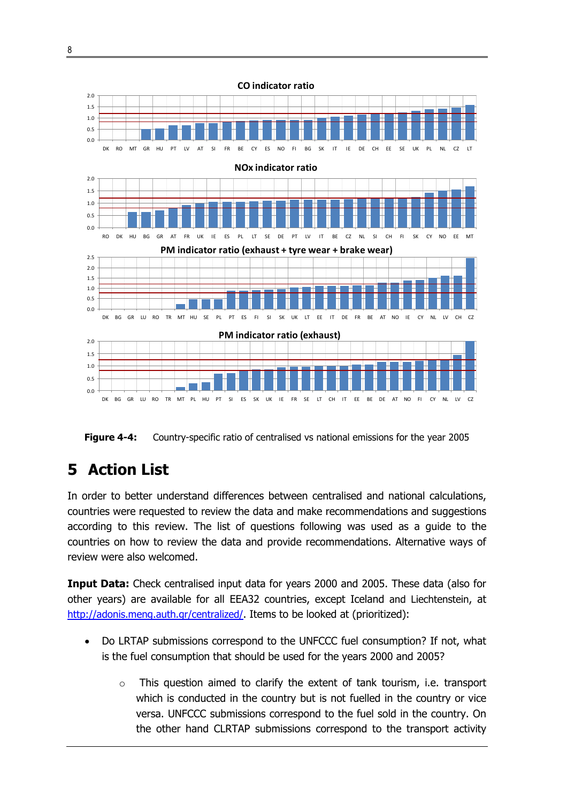<span id="page-15-0"></span>

**Figure 4-4:** Country-specific ratio of centralised vs national emissions for the year 2005

## **5 Action List**

In order to better understand differences between centralised and national calculations, countries were requested to review the data and make recommendations and suggestions according to this review. The list of questions following was used as a guide to the countries on how to review the data and provide recommendations. Alternative ways of review were also welcomed.

**Input Data:** Check centralised input data for years 2000 and 2005. These data (also for other years) are available for all EEA32 countries, except Iceland and Liechtenstein, at <http://adonis.meng.auth.gr/centralized/>. Items to be looked at (prioritized):

- Do LRTAP submissions correspond to the UNFCCC fuel consumption? If not, what is the fuel consumption that should be used for the years 2000 and 2005?
	- $\circ$  This question aimed to clarify the extent of tank tourism, i.e. transport which is conducted in the country but is not fuelled in the country or vice versa. UNFCCC submissions correspond to the fuel sold in the country. On the other hand CLRTAP submissions correspond to the transport activity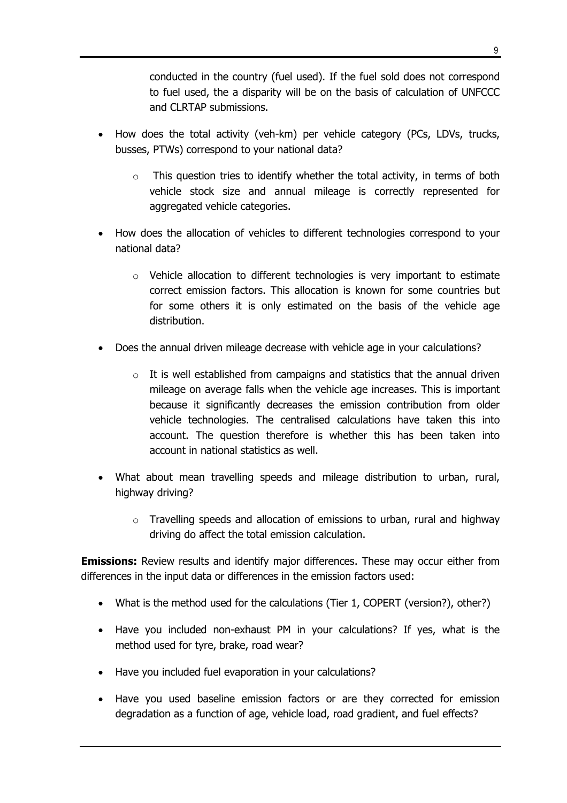conducted in the country (fuel used). If the fuel sold does not correspond to fuel used, the a disparity will be on the basis of calculation of UNFCCC and CLRTAP submissions.

- How does the total activity (veh-km) per vehicle category (PCs, LDVs, trucks, busses, PTWs) correspond to your national data?
	- $\circ$  This question tries to identify whether the total activity, in terms of both vehicle stock size and annual mileage is correctly represented for aggregated vehicle categories.
- How does the allocation of vehicles to different technologies correspond to your national data?
	- $\circ$  Vehicle allocation to different technologies is very important to estimate correct emission factors. This allocation is known for some countries but for some others it is only estimated on the basis of the vehicle age distribution.
- Does the annual driven mileage decrease with vehicle age in your calculations?
	- $\circ$  It is well established from campaigns and statistics that the annual driven mileage on average falls when the vehicle age increases. This is important because it significantly decreases the emission contribution from older vehicle technologies. The centralised calculations have taken this into account. The question therefore is whether this has been taken into account in national statistics as well.
- What about mean travelling speeds and mileage distribution to urban, rural, highway driving?
	- $\circ$  Travelling speeds and allocation of emissions to urban, rural and highway driving do affect the total emission calculation.

**Emissions:** Review results and identify major differences. These may occur either from differences in the input data or differences in the emission factors used:

- What is the method used for the calculations (Tier 1, COPERT (version?), other?)
- Have you included non-exhaust PM in your calculations? If yes, what is the method used for tyre, brake, road wear?
- Have you included fuel evaporation in your calculations?
- Have you used baseline emission factors or are they corrected for emission degradation as a function of age, vehicle load, road gradient, and fuel effects?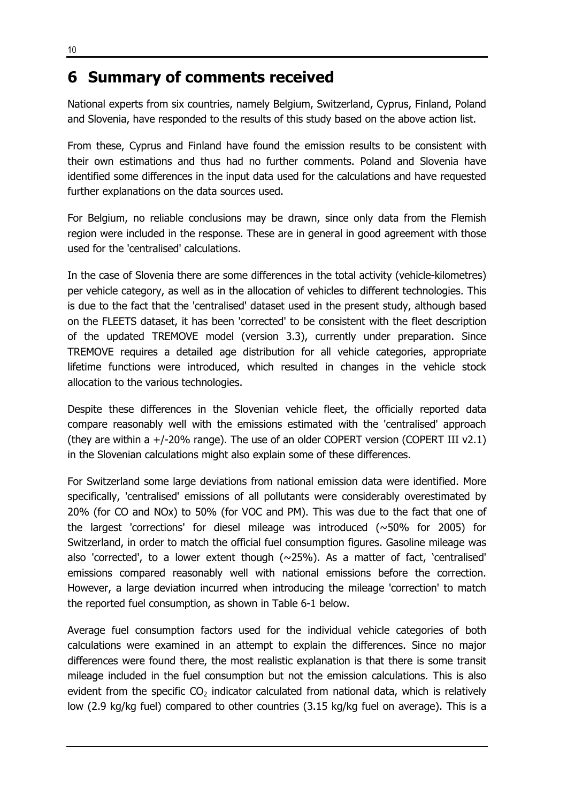#### <span id="page-17-0"></span>**6 Summary of comments received**

National experts from six countries, namely Belgium, Switzerland, Cyprus, Finland, Poland and Slovenia, have responded to the results of this study based on the above action list.

From these, Cyprus and Finland have found the emission results to be consistent with their own estimations and thus had no further comments. Poland and Slovenia have identified some differences in the input data used for the calculations and have requested further explanations on the data sources used.

For Belgium, no reliable conclusions may be drawn, since only data from the Flemish region were included in the response. These are in general in good agreement with those used for the 'centralised' calculations.

In the case of Slovenia there are some differences in the total activity (vehicle-kilometres) per vehicle category, as well as in the allocation of vehicles to different technologies. This is due to the fact that the 'centralised' dataset used in the present study, although based on the FLEETS dataset, it has been 'corrected' to be consistent with the fleet description of the updated TREMOVE model (version 3.3), currently under preparation. Since TREMOVE requires a detailed age distribution for all vehicle categories, appropriate lifetime functions were introduced, which resulted in changes in the vehicle stock allocation to the various technologies.

Despite these differences in the Slovenian vehicle fleet, the officially reported data compare reasonably well with the emissions estimated with the 'centralised' approach (they are within a +/-20% range). The use of an older COPERT version (COPERT III v2.1) in the Slovenian calculations might also explain some of these differences.

For Switzerland some large deviations from national emission data were identified. More specifically, 'centralised' emissions of all pollutants were considerably overestimated by 20% (for CO and NOx) to 50% (for VOC and PM). This was due to the fact that one of the largest 'corrections' for diesel mileage was introduced (~50% for 2005) for Switzerland, in order to match the official fuel consumption figures. Gasoline mileage was also 'corrected', to a lower extent though  $(\sim 25\%)$ . As a matter of fact, 'centralised' emissions compared reasonably well with national emissions before the correction. However, a large deviation incurred when introducing the mileage 'correction' to match the reported fuel consumption, as shown in [Table 6-1](#page-18-0) below.

Average fuel consumption factors used for the individual vehicle categories of both calculations were examined in an attempt to explain the differences. Since no major differences were found there, the most realistic explanation is that there is some transit mileage included in the fuel consumption but not the emission calculations. This is also evident from the specific  $CO<sub>2</sub>$  indicator calculated from national data, which is relatively low (2.9 kg/kg fuel) compared to other countries (3.15 kg/kg fuel on average). This is a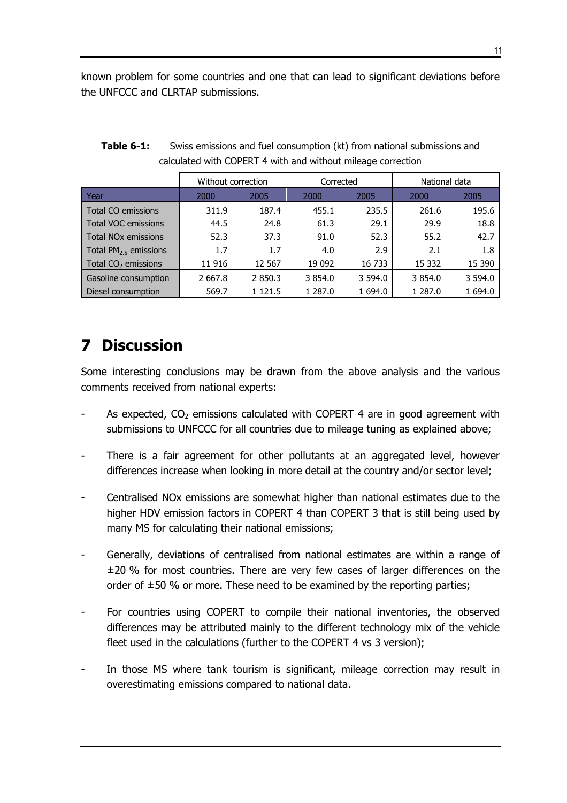<span id="page-18-0"></span>known problem for some countries and one that can lead to significant deviations before the UNFCCC and CLRTAP submissions.

|                                 | Without correction |            | Corrected    |         | National data |         |
|---------------------------------|--------------------|------------|--------------|---------|---------------|---------|
| l Year                          | 2000               | 2005       | 2005<br>2000 |         | 2000          | 2005    |
| Total CO emissions              | 311.9              | 187.4      | 455.1        | 235.5   | 261.6         | 195.6   |
| <b>Total VOC emissions</b>      | 44.5               | 24.8       | 61.3         | 29.1    | 29.9          | 18.8    |
| Total NO <sub>x</sub> emissions | 52.3               | 37.3       | 91.0         | 52.3    | 55.2          | 42.7    |
| Total $PM2.5$ emissions         | 1.7                | 1.7        | 4.0          | 2.9     | 2.1           | 1.8     |
| Total $CO2$ emissions           | 11 916             | 12 567     | 19 092       | 16 733  | 15 3 32       | 15 390  |
| Gasoline consumption            | 2 6 6 7 . 8        | 2 850.3    | 3 854.0      | 3 594.0 | 3 854.0       | 3 594.0 |
| Diesel consumption              | 569.7              | 1 1 2 1 .5 | 1 287.0      | 1 694.0 | 1 287.0       | 1 694.0 |

| Table 6-1: | Swiss emissions and fuel consumption (kt) from national submissions and |
|------------|-------------------------------------------------------------------------|
|            | calculated with COPERT 4 with and without mileage correction            |

## **7 Discussion**

Some interesting conclusions may be drawn from the above analysis and the various comments received from national experts:

- As expected,  $CO<sub>2</sub>$  emissions calculated with COPERT 4 are in good agreement with submissions to UNFCCC for all countries due to mileage tuning as explained above;
- There is a fair agreement for other pollutants at an aggregated level, however differences increase when looking in more detail at the country and/or sector level;
- Centralised NOx emissions are somewhat higher than national estimates due to the higher HDV emission factors in COPERT 4 than COPERT 3 that is still being used by many MS for calculating their national emissions;
- Generally, deviations of centralised from national estimates are within a range of ±20 % for most countries. There are very few cases of larger differences on the order of  $\pm 50$  % or more. These need to be examined by the reporting parties;
- For countries using COPERT to compile their national inventories, the observed differences may be attributed mainly to the different technology mix of the vehicle fleet used in the calculations (further to the COPERT 4 vs 3 version);
- In those MS where tank tourism is significant, mileage correction may result in overestimating emissions compared to national data.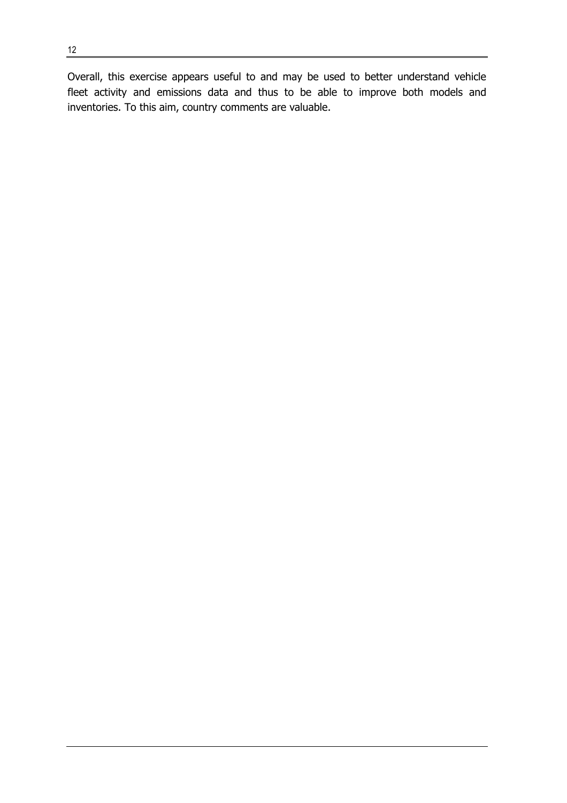Overall, this exercise appears useful to and may be used to better understand vehicle fleet activity and emissions data and thus to be able to improve both models and inventories. To this aim, country comments are valuable.